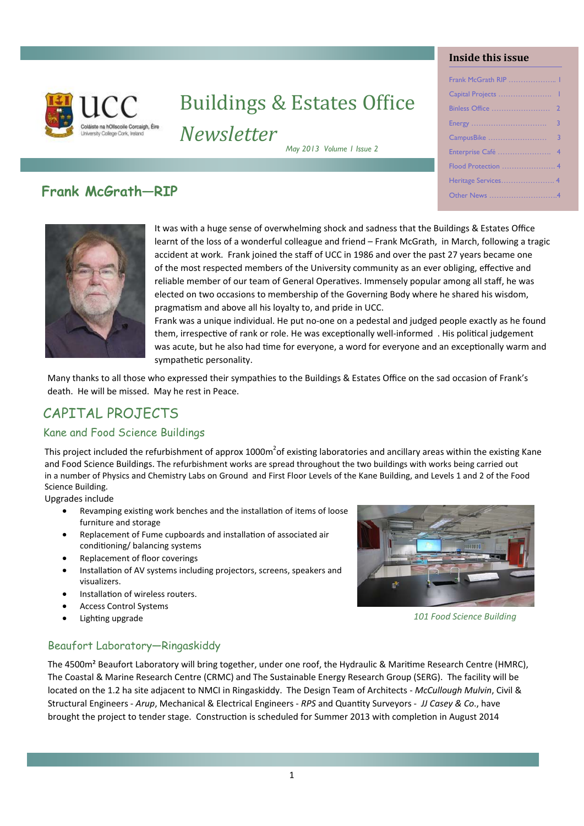

 $\overline{1}$ 

# **Buildings & Estates Office** *Newsletter*

*May 2013 Volume 1 Issue 2* 

#### **Inside this issue**

| Frank McGrath RIP  1 |  |
|----------------------|--|
|                      |  |
|                      |  |
|                      |  |
|                      |  |
| Enterprise Café  4   |  |
| Flood Protection  4  |  |
|                      |  |
| Other News 4         |  |
|                      |  |

# **Frank McGrath—RIP**



It was with a huge sense of overwhelming shock and sadness that the Buildings & Estates Office learnt of the loss of a wonderful colleague and friend – Frank McGrath, in March, following a tragic accident at work. Frank joined the staff of UCC in 1986 and over the past 27 years became one of the most respected members of the University community as an ever obliging, effective and reliable member of our team of General Operatives. Immensely popular among all staff, he was elected on two occasions to membership of the Governing Body where he shared his wisdom, pragmatism and above all his lovalty to, and pride in UCC.

Frank was a unique individual. He put no-one on a pedestal and judged people exactly as he found them, irrespective of rank or role. He was exceptionally well-informed . His political judgement was acute, but he also had time for everyone, a word for everyone and an exceptionally warm and sympathetic personality.

Many thanks to all those who expressed their sympathies to the Buildings & Estates Office on the sad occasion of Frank's death. He will be missed. May he rest in Peace.

# CAPITAL PROJECTS

#### Kane and Food Science Buildings

This project included the refurbishment of approx 1000m<sup>2</sup>of existing laboratories and ancillary areas within the existing Kane and Food Science Buildings. The refurbishment works are spread throughout the two buildings with works being carried out in a number of Physics and Chemistry Labs on Ground and First Floor Levels of the Kane Building, and Levels 1 and 2 of the Food Science Building.

Upgrades include

- Revamping existing work benches and the installation of items of loose furniture and storage
- Replacement of Fume cupboards and installation of associated air conditioning/ balancing systems
- Replacement of floor coverings
- Installation of AV systems including projectors, screens, speakers and visualizers.
- Installation of wireless routers.
- Access Control Systems
- Lighting upgrade



*101 Food Science Building* 

#### Beaufort Laboratory—Ringaskiddy

The 4500m<sup>2</sup> Beaufort Laboratory will bring together, under one roof, the Hydraulic & Maritime Research Centre (HMRC), The Coastal & Marine Research Centre (CRMC) and The Sustainable Energy Research Group (SERG). The facility will be located on the 1.2 ha site adjacent to NMCI in Ringaskiddy. The Design Team of Architects ‐ *McCullough Mulvin*, Civil & Structural Engineers ‐ *Arup*, Mechanical & Electrical Engineers ‐ *RPS* and QuanƟty Surveyors ‐ *JJ Casey & Co*., have brought the project to tender stage. Construction is scheduled for Summer 2013 with completion in August 2014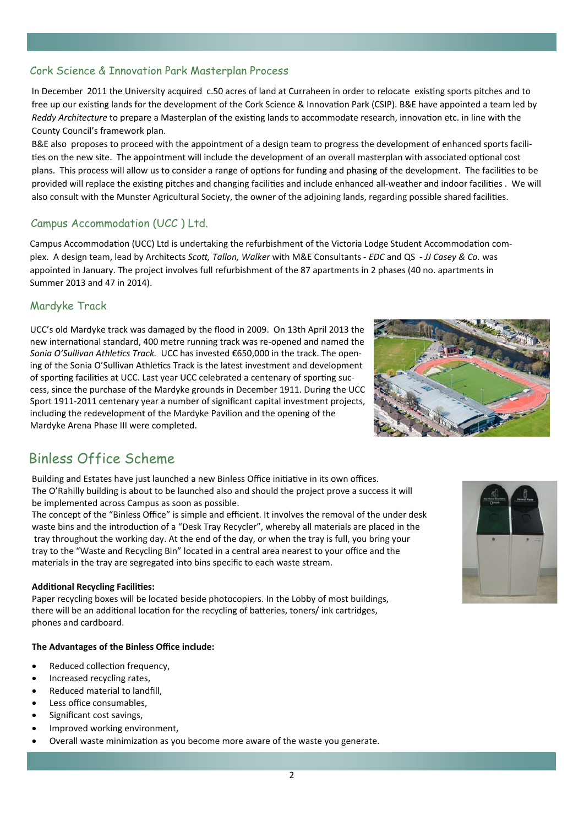# Cork Science & Innovation Park Masterplan Process

In December 2011 the University acquired c.50 acres of land at Curraheen in order to relocate existing sports pitches and to free up our existing lands for the development of the Cork Science & Innovation Park (CSIP). B&E have appointed a team led by *Reddy Architecture* to prepare a Masterplan of the existing lands to accommodate research, innovation etc. in line with the County Council's framework plan.

B&E also proposes to proceed with the appointment of a design team to progress the development of enhanced sports facilities on the new site. The appointment will include the development of an overall masterplan with associated optional cost plans. This process will allow us to consider a range of options for funding and phasing of the development. The facilities to be provided will replace the existing pitches and changing facilities and include enhanced all-weather and indoor facilities. We will also consult with the Munster Agricultural Society, the owner of the adjoining lands, regarding possible shared facilities.

#### Campus Accommodation (UCC ) Ltd.

Campus Accommodation (UCC) Ltd is undertaking the refurbishment of the Victoria Lodge Student Accommodation complex. A design team, lead by Architects *ScoƩ, Tallon, Walker* with M&E Consultants ‐ *EDC* and QS ‐ *JJ Casey & Co.* was appointed in January. The project involves full refurbishment of the 87 apartments in 2 phases (40 no. apartments in Summer 2013 and 47 in 2014).

#### Mardyke Track

֦֘

UCC's old Mardyke track was damaged by the flood in 2009. On 13th April 2013 the new international standard, 400 metre running track was re-opened and named the *Sonia O'Sullivan Athletics Track.* UCC has invested €650,000 in the track. The opening of the Sonia O'Sullivan Athletics Track is the latest investment and development of sporting facilities at UCC. Last year UCC celebrated a centenary of sporting success, since the purchase of the Mardyke grounds in December 1911. During the UCC Sport 1911-2011 centenary year a number of significant capital investment projects, including the redevelopment of the Mardyke Pavilion and the opening of the Mardyke Arena Phase III were completed.



## Binless Office Scheme

Building and Estates have just launched a new Binless Office initiative in its own offices. The O'Rahilly building is about to be launched also and should the project prove a success it will be implemented across Campus as soon as possible.

The concept of the "Binless Office" is simple and efficient. It involves the removal of the under desk waste bins and the introduction of a "Desk Tray Recycler", whereby all materials are placed in the tray throughout the working day. At the end of the day, or when the tray is full, you bring your tray to the "Waste and Recycling Bin" located in a central area nearest to your office and the materials in the tray are segregated into bins specific to each waste stream.

#### **AddiƟonal Recycling FaciliƟes:**

Paper recycling boxes will be located beside photocopiers. In the Lobby of most buildings, there will be an additional location for the recycling of batteries, toners/ ink cartridges, phones and cardboard.

#### **The Advantages of the Binless Office include:**

- Reduced collection frequency,
- Increased recycling rates,
- Reduced material to landfill,
- Less office consumables,
- Significant cost savings,
- Improved working environment,
- Overall waste minimization as you become more aware of the waste you generate.

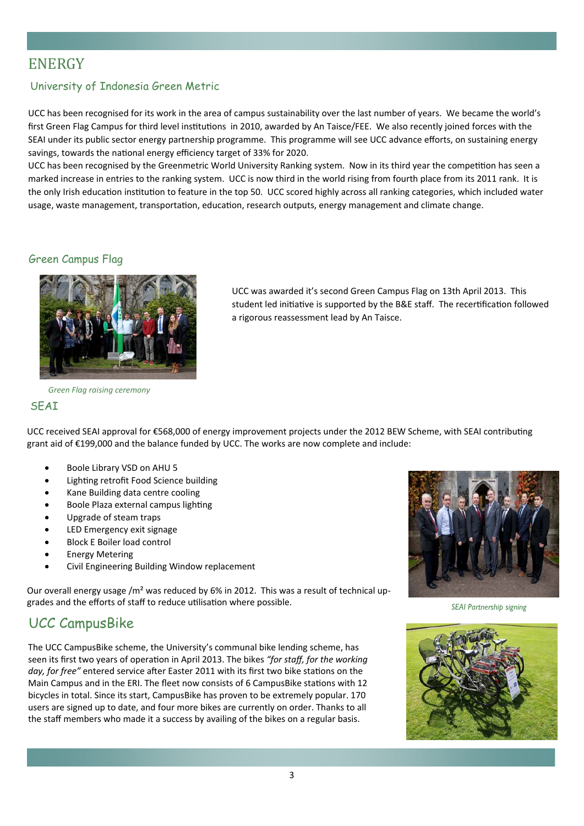# ENERGY

֒

#### University of Indonesia Green Metric

UCC has been recognised for its work in the area of campus sustainability over the last number of years. We became the world's first Green Flag Campus for third level institutions in 2010, awarded by An Taisce/FEE. We also recently joined forces with the SEAI under its public sector energy partnership programme. This programme will see UCC advance efforts, on sustaining energy savings, towards the national energy efficiency target of 33% for 2020.

UCC has been recognised by the Greenmetric World University Ranking system. Now in its third year the competition has seen a marked increase in entries to the ranking system. UCC is now third in the world rising from fourth place from its 2011 rank. It is the only Irish education institution to feature in the top 50. UCC scored highly across all ranking categories, which included water usage, waste management, transportation, education, research outputs, energy management and climate change.

#### Green Campus Flag



*Green Flag raising ceremony* 

#### SEAI

UCC was awarded it's second Green Campus Flag on 13th April 2013. This student led initiative is supported by the B&E staff. The recertification followed a rigorous reassessment lead by An Taisce.

UCC received SEAI approval for €568,000 of energy improvement projects under the 2012 BEW Scheme, with SEAI contributing grant aid of €199,000 and the balance funded by UCC. The works are now complete and include:

- Boole Library VSD on AHU 5
- Lighting retrofit Food Science building
- Kane Building data centre cooling
- Boole Plaza external campus lighting
- Upgrade of steam traps
- LED Emergency exit signage
- Block E Boiler load control
- Energy Metering
- Civil Engineering Building Window replacement

Our overall energy usage / $m<sup>2</sup>$  was reduced by 6% in 2012. This was a result of technical upgrades and the efforts of staff to reduce utilisation where possible.

### UCC CampusBike

The UCC CampusBike scheme, the University's communal bike lending scheme, has seen its first two years of operation in April 2013. The bikes "for staff, for the working day, for free" entered service after Easter 2011 with its first two bike stations on the Main Campus and in the ERI. The fleet now consists of 6 CampusBike stations with 12 bicycles in total. Since its start, CampusBike has proven to be extremely popular. 170 users are signed up to date, and four more bikes are currently on order. Thanks to all the staff members who made it a success by availing of the bikes on a regular basis.



*SEAI Partnership signing*